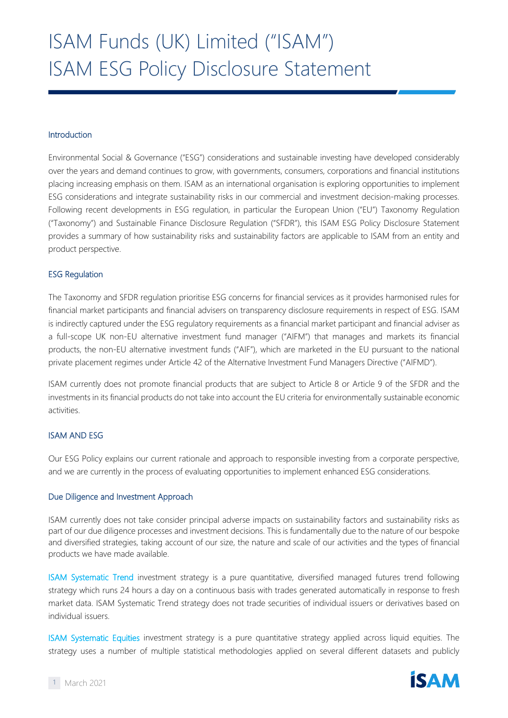## Introduction

Environmental Social & Governance ("ESG") considerations and sustainable investing have developed considerably over the years and demand continues to grow, with governments, consumers, corporations and financial institutions placing increasing emphasis on them. ISAM as an international organisation is exploring opportunities to implement ESG considerations and integrate sustainability risks in our commercial and investment decision-making processes. Following recent developments in ESG regulation, in particular the European Union ("EU") Taxonomy Regulation ("Taxonomy") and Sustainable Finance Disclosure Regulation ("SFDR"), this ISAM ESG Policy Disclosure Statement provides a summary of how sustainability risks and sustainability factors are applicable to ISAM from an entity and product perspective.

# ESG Regulation

The Taxonomy and SFDR regulation prioritise ESG concerns for financial services as it provides harmonised rules for financial market participants and financial advisers on transparency disclosure requirements in respect of ESG. ISAM is indirectly captured under the ESG regulatory requirements as a financial market participant and financial adviser as a full-scope UK non-EU alternative investment fund manager ("AIFM") that manages and markets its financial products, the non-EU alternative investment funds ("AIF"), which are marketed in the EU pursuant to the national private placement regimes under Article 42 of the Alternative Investment Fund Managers Directive ("AIFMD").

ISAM currently does not promote financial products that are subject to Article 8 or Article 9 of the SFDR and the investments in its financial products do not take into account the EU criteria for environmentally sustainable economic activities.

## ISAM AND ESG

Our ESG Policy explains our current rationale and approach to responsible investing from a corporate perspective, and we are currently in the process of evaluating opportunities to implement enhanced ESG considerations.

## Due Diligence and Investment Approach

ISAM currently does not take consider principal adverse impacts on sustainability factors and sustainability risks as part of our due diligence processes and investment decisions. This is fundamentally due to the nature of our bespoke and diversified strategies, taking account of our size, the nature and scale of our activities and the types of financial products we have made available.

ISAM Systematic Trend investment strategy is a pure quantitative, diversified managed futures trend following strategy which runs 24 hours a day on a continuous basis with trades generated automatically in response to fresh market data. ISAM Systematic Trend strategy does not trade securities of individual issuers or derivatives based on individual issuers.

ISAM Systematic Equities investment strategy is a pure quantitative strategy applied across liquid equities. The strategy uses a number of multiple statistical methodologies applied on several different datasets and publicly